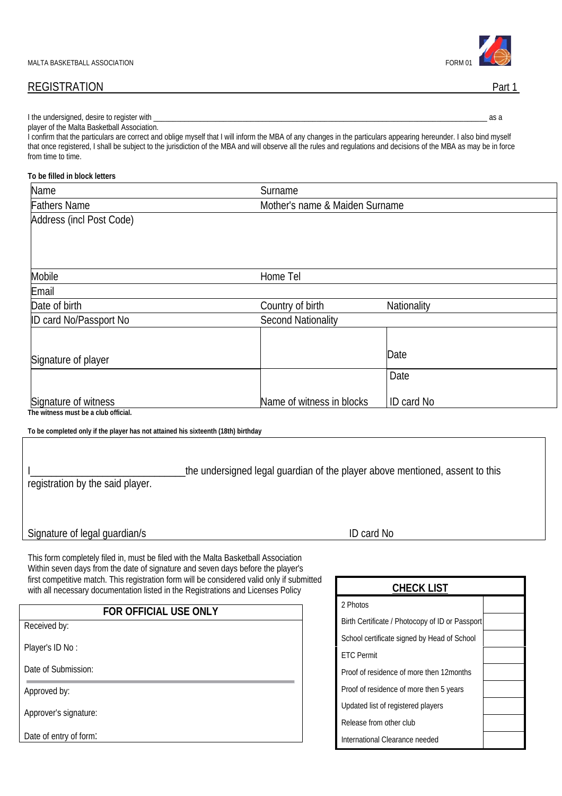# REGISTRATION Part 1

| ! the<br>undersigned.<br>desire to r<br>with<br>register . |  |
|------------------------------------------------------------|--|
| . Malta Basketball As⊆<br>player of the<br>татіс           |  |

I confirm that the particulars are correct and oblige myself that I will inform the MBA of any changes in the particulars appearing hereunder. I also bind myself that once registered, I shall be subject to the jurisdiction of the MBA and will observe all the rules and regulations and decisions of the MBA as may be in force from time to time.

#### **To be filled in block letters**

| Name                                                                                                                                                                  | Surname                                                                      |                                |                                                 |  |  |
|-----------------------------------------------------------------------------------------------------------------------------------------------------------------------|------------------------------------------------------------------------------|--------------------------------|-------------------------------------------------|--|--|
| <b>Fathers Name</b>                                                                                                                                                   |                                                                              | Mother's name & Maiden Surname |                                                 |  |  |
| Address (incl Post Code)                                                                                                                                              |                                                                              |                                |                                                 |  |  |
|                                                                                                                                                                       |                                                                              |                                |                                                 |  |  |
|                                                                                                                                                                       |                                                                              |                                |                                                 |  |  |
| Mobile                                                                                                                                                                | Home Tel                                                                     |                                |                                                 |  |  |
| Email                                                                                                                                                                 |                                                                              |                                |                                                 |  |  |
| Date of birth                                                                                                                                                         | Country of birth                                                             |                                | Nationality                                     |  |  |
| ID card No/Passport No                                                                                                                                                | <b>Second Nationality</b>                                                    |                                |                                                 |  |  |
|                                                                                                                                                                       |                                                                              |                                |                                                 |  |  |
| Signature of player                                                                                                                                                   |                                                                              |                                | Date                                            |  |  |
|                                                                                                                                                                       |                                                                              |                                | Date                                            |  |  |
|                                                                                                                                                                       |                                                                              |                                |                                                 |  |  |
| Signature of witness                                                                                                                                                  | Name of witness in blocks                                                    |                                | ID card No                                      |  |  |
| The witness must be a club official.                                                                                                                                  |                                                                              |                                |                                                 |  |  |
| To be completed only if the player has not attained his sixteenth (18th) birthday                                                                                     |                                                                              |                                |                                                 |  |  |
|                                                                                                                                                                       |                                                                              |                                |                                                 |  |  |
|                                                                                                                                                                       | the undersigned legal guardian of the player above mentioned, assent to this |                                |                                                 |  |  |
| registration by the said player.                                                                                                                                      |                                                                              |                                |                                                 |  |  |
|                                                                                                                                                                       |                                                                              |                                |                                                 |  |  |
|                                                                                                                                                                       |                                                                              |                                |                                                 |  |  |
| Signature of legal guardian/s                                                                                                                                         |                                                                              | ID card No                     |                                                 |  |  |
|                                                                                                                                                                       |                                                                              |                                |                                                 |  |  |
| This form completely filed in, must be filed with the Malta Basketball Association<br>Within seven days from the date of signature and seven days before the player's |                                                                              |                                |                                                 |  |  |
| first competitive match. This registration form will be considered valid only if submitted                                                                            |                                                                              |                                |                                                 |  |  |
| with all necessary documentation listed in the Registrations and Licenses Policy                                                                                      |                                                                              |                                | <b>CHECK LIST</b>                               |  |  |
| FOR OFFICIAL USE ONLY                                                                                                                                                 |                                                                              | 2 Photos                       |                                                 |  |  |
| Received by:                                                                                                                                                          |                                                                              |                                | Birth Certificate / Photocopy of ID or Passport |  |  |
|                                                                                                                                                                       |                                                                              |                                | School certificate signed by Head of School     |  |  |
| Player's ID No:                                                                                                                                                       |                                                                              | <b>ETC Permit</b>              |                                                 |  |  |
| Date of Submission:                                                                                                                                                   |                                                                              |                                | Proof of residence of more then 12months        |  |  |
| Approved by:                                                                                                                                                          |                                                                              |                                | Proof of residence of more then 5 years         |  |  |

Approver's signature:

Date of entry of form:

| <b>CHECK LIST</b>                               |  |
|-------------------------------------------------|--|
| 2 Photos                                        |  |
| Birth Certificate / Photocopy of ID or Passport |  |
| School certificate signed by Head of School     |  |
| <b>FTC</b> Permit                               |  |
| Proof of residence of more then 12 months       |  |
| Proof of residence of more then 5 years         |  |
| Updated list of registered players              |  |
| Release from other club                         |  |
| International Clearance needed                  |  |

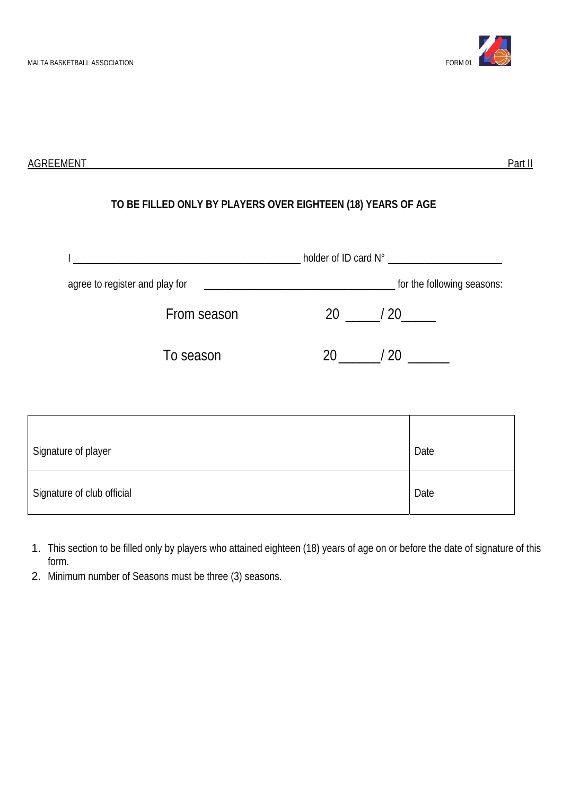

AGREEMENT Part II

# **TO BE FILLED ONLY BY PLAYERS OVER EIGHTEEN (18) YEARS OF AGE**

| agree to register and play for |             |           |      |
|--------------------------------|-------------|-----------|------|
|                                | From season | 20 / 20   |      |
|                                | To season   | /20<br>20 |      |
|                                |             |           |      |
| Signature of player            |             |           | Date |
| Signature of club official     |             |           | Date |

- 1. This section to be filled only by players who attained eighteen (18) years of age on or before the date of signature of this form.
- 2. Minimum number of Seasons must be three (3) seasons.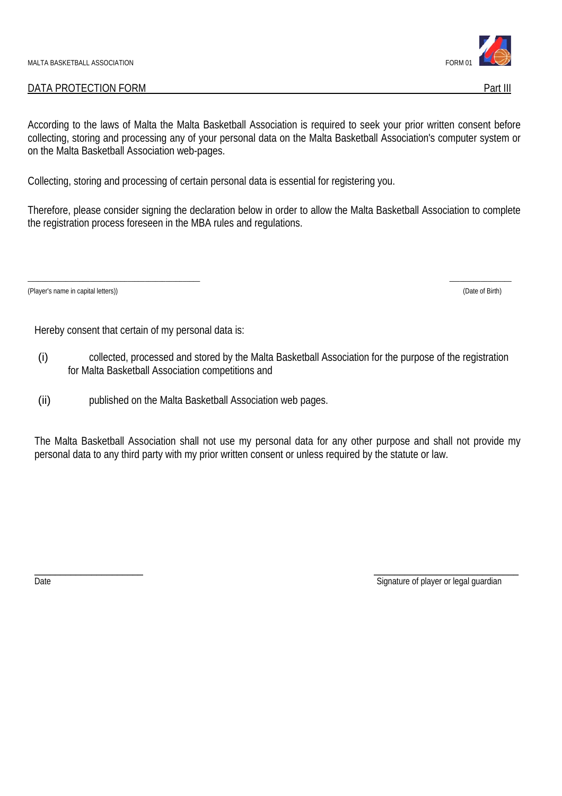## DATA PROTECTION FORM PART III

According to the laws of Malta the Malta Basketball Association is required to seek your prior written consent before collecting, storing and processing any of your personal data on the Malta Basketball Association's computer system or on the Malta Basketball Association web-pages.

Collecting, storing and processing of certain personal data is essential for registering you.

Therefore, please consider signing the declaration below in order to allow the Malta Basketball Association to complete the registration process foreseen in the MBA rules and regulations.

(Player's name in capital letters)) (Date of Birth)

Hereby consent that certain of my personal data is:

- (i) collected, processed and stored by the Malta Basketball Association for the purpose of the registration for Malta Basketball Association competitions and
- (ii) published on the Malta Basketball Association web pages.

The Malta Basketball Association shall not use my personal data for any other purpose and shall not provide my personal data to any third party with my prior written consent or unless required by the statute or law.

\_\_\_\_\_\_\_\_\_\_\_\_\_\_\_\_\_\_\_\_\_\_\_\_\_\_\_\_\_\_\_\_\_\_\_\_\_\_\_\_\_\_\_\_\_\_\_\_\_\_ \_\_\_\_\_\_\_\_\_\_\_\_\_\_\_\_\_\_



Date the contract of player or legal guardian contract of player or legal guardian contract of player or legal guardian